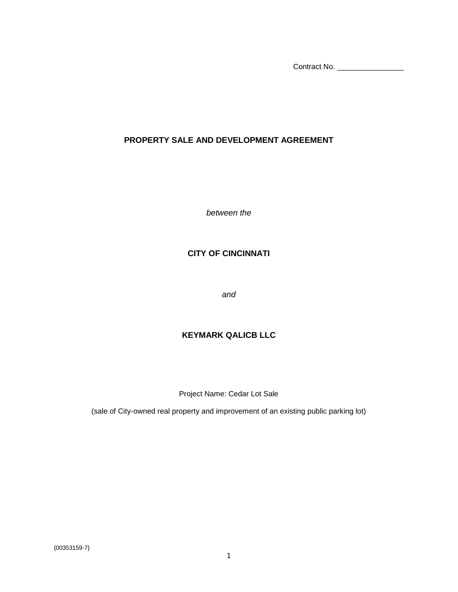Contract No. \_\_\_\_\_\_\_\_\_\_\_\_\_\_\_\_

# **PROPERTY SALE AND DEVELOPMENT AGREEMENT**

*between the*

## **CITY OF CINCINNATI**

*and*

# **KEYMARK QALICB LLC**

Project Name: Cedar Lot Sale

(sale of City-owned real property and improvement of an existing public parking lot)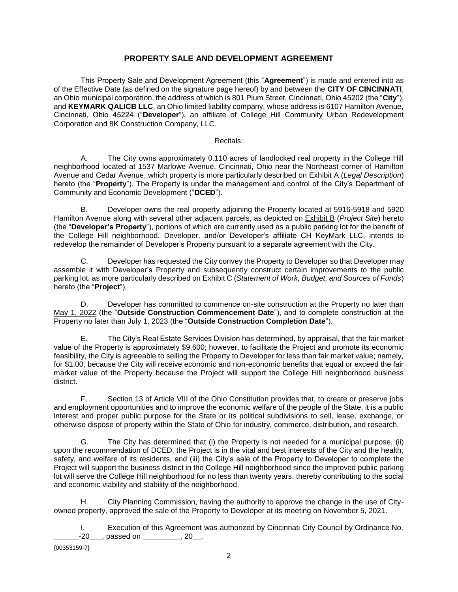## **PROPERTY SALE AND DEVELOPMENT AGREEMENT**

This Property Sale and Development Agreement (this "**Agreement**") is made and entered into as of the Effective Date (as defined on the signature page hereof) by and between the **CITY OF CINCINNATI**, an Ohio municipal corporation, the address of which is 801 Plum Street, Cincinnati, Ohio 45202 (the "**City**"), and **KEYMARK QALICB LLC**, an Ohio limited liability company, whose address is 6107 Hamilton Avenue, Cincinnati, Ohio 45224 ("**Developer**"), an affiliate of College Hill Community Urban Redevelopment Corporation and 8K Construction Company, LLC.

#### Recitals:

A. The City owns approximately 0.110 acres of landlocked real property in the College Hill neighborhood located at 1537 Marlowe Avenue, Cincinnati, Ohio near the Northeast corner of Hamilton Avenue and Cedar Avenue, which property is more particularly described on Exhibit A (*Legal Description*) hereto (the "**Property**"). The Property is under the management and control of the City's Department of Community and Economic Development ("**DCED**").

B. Developer owns the real property adjoining the Property located at 5916-5918 and 5920 Hamilton Avenue along with several other adjacent parcels, as depicted on Exhibit B (*Project Site*) hereto (the "**Developer's Property**"), portions of which are currently used as a public parking lot for the benefit of the College Hill neighborhood. Developer, and/or Developer's affiliate CH KeyMark LLC, intends to redevelop the remainder of Developer's Property pursuant to a separate agreement with the City.

C. Developer has requested the City convey the Property to Developer so that Developer may assemble it with Developer's Property and subsequently construct certain improvements to the public parking lot, as more particularly described on Exhibit C (*Statement of Work, Budget, and Sources of Funds*) hereto (the "**Project**").

D. Developer has committed to commence on-site construction at the Property no later than May 1, 2022 (the "**Outside Construction Commencement Date**"), and to complete construction at the Property no later than July 1, 2023 (the "**Outside Construction Completion Date**").

E. The City's Real Estate Services Division has determined, by appraisal, that the fair market value of the Property is approximately \$9,600; however, to facilitate the Project and promote its economic feasibility, the City is agreeable to selling the Property to Developer for less than fair market value; namely, for \$1.00, because the City will receive economic and non-economic benefits that equal or exceed the fair market value of the Property because the Project will support the College Hill neighborhood business district.

F. Section 13 of Article VIII of the Ohio Constitution provides that, to create or preserve jobs and employment opportunities and to improve the economic welfare of the people of the State, it is a public interest and proper public purpose for the State or its political subdivisions to sell, lease, exchange, or otherwise dispose of property within the State of Ohio for industry, commerce, distribution, and research.

G. The City has determined that (i) the Property is not needed for a municipal purpose, (ii) upon the recommendation of DCED, the Project is in the vital and best interests of the City and the health, safety, and welfare of its residents, and (iii) the City's sale of the Property to Developer to complete the Project will support the business district in the College Hill neighborhood since the improved public parking lot will serve the College Hill neighborhood for no less than twenty years, thereby contributing to the social and economic viability and stability of the neighborhood.

H. City Planning Commission, having the authority to approve the change in the use of Cityowned property, approved the sale of the Property to Developer at its meeting on November 5, 2021.

I. Execution of this Agreement was authorized by Cincinnati City Council by Ordinance No.  $-20$  , passed on  $\qquad \qquad$  , 20.

{00353159-7}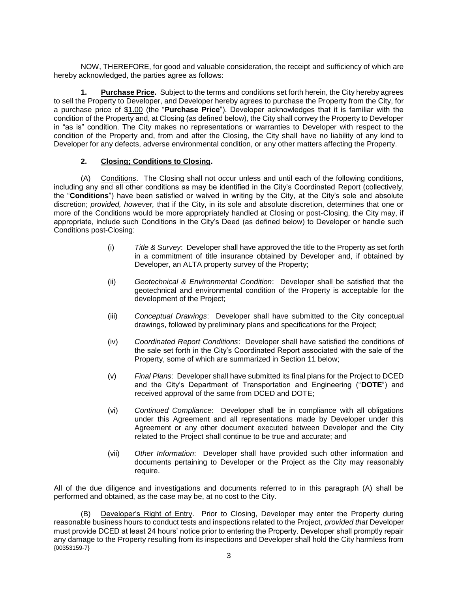NOW, THEREFORE, for good and valuable consideration, the receipt and sufficiency of which are hereby acknowledged, the parties agree as follows:

**1. Purchase Price.** Subject to the terms and conditions set forth herein, the City hereby agrees to sell the Property to Developer, and Developer hereby agrees to purchase the Property from the City, for a purchase price of \$1.00 (the "**Purchase Price**"). Developer acknowledges that it is familiar with the condition of the Property and, at Closing (as defined below), the City shall convey the Property to Developer in "as is" condition. The City makes no representations or warranties to Developer with respect to the condition of the Property and, from and after the Closing, the City shall have no liability of any kind to Developer for any defects, adverse environmental condition, or any other matters affecting the Property.

### **2. Closing; Conditions to Closing.**

(A) Conditions. The Closing shall not occur unless and until each of the following conditions, including any and all other conditions as may be identified in the City's Coordinated Report (collectively, the "**Conditions**") have been satisfied or waived in writing by the City, at the City's sole and absolute discretion; *provided, however,* that if the City, in its sole and absolute discretion, determines that one or more of the Conditions would be more appropriately handled at Closing or post-Closing, the City may, if appropriate, include such Conditions in the City's Deed (as defined below) to Developer or handle such Conditions post-Closing:

- (i) *Title & Survey*: Developer shall have approved the title to the Property as set forth in a commitment of title insurance obtained by Developer and, if obtained by Developer, an ALTA property survey of the Property;
- (ii) *Geotechnical & Environmental Condition*: Developer shall be satisfied that the geotechnical and environmental condition of the Property is acceptable for the development of the Project;
- (iii) *Conceptual Drawings*: Developer shall have submitted to the City conceptual drawings, followed by preliminary plans and specifications for the Project;
- (iv) *Coordinated Report Conditions*: Developer shall have satisfied the conditions of the sale set forth in the City's Coordinated Report associated with the sale of the Property, some of which are summarized in Section 11 below;
- (v) *Final Plans*: Developer shall have submitted its final plans for the Project to DCED and the City's Department of Transportation and Engineering ("**DOTE**") and received approval of the same from DCED and DOTE;
- (vi) *Continued Compliance*: Developer shall be in compliance with all obligations under this Agreement and all representations made by Developer under this Agreement or any other document executed between Developer and the City related to the Project shall continue to be true and accurate; and
- (vii) *Other Information*:Developer shall have provided such other information and documents pertaining to Developer or the Project as the City may reasonably require.

All of the due diligence and investigations and documents referred to in this paragraph (A) shall be performed and obtained, as the case may be, at no cost to the City.

 $(00353159 - 7)$ (B) Developer's Right of Entry. Prior to Closing, Developer may enter the Property during reasonable business hours to conduct tests and inspections related to the Project, *provided that* Developer must provide DCED at least 24 hours' notice prior to entering the Property. Developer shall promptly repair any damage to the Property resulting from its inspections and Developer shall hold the City harmless from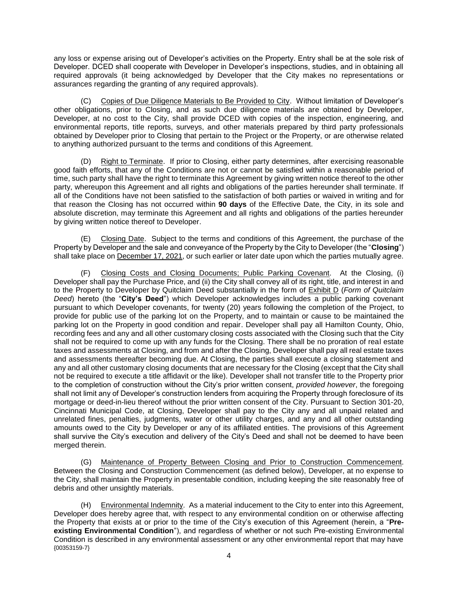any loss or expense arising out of Developer's activities on the Property. Entry shall be at the sole risk of Developer. DCED shall cooperate with Developer in Developer's inspections, studies, and in obtaining all required approvals (it being acknowledged by Developer that the City makes no representations or assurances regarding the granting of any required approvals).

(C) Copies of Due Diligence Materials to Be Provided to City. Without limitation of Developer's other obligations, prior to Closing, and as such due diligence materials are obtained by Developer, Developer, at no cost to the City, shall provide DCED with copies of the inspection, engineering, and environmental reports, title reports, surveys, and other materials prepared by third party professionals obtained by Developer prior to Closing that pertain to the Project or the Property, or are otherwise related to anything authorized pursuant to the terms and conditions of this Agreement.

(D) Right to Terminate. If prior to Closing, either party determines, after exercising reasonable good faith efforts, that any of the Conditions are not or cannot be satisfied within a reasonable period of time, such party shall have the right to terminate this Agreement by giving written notice thereof to the other party, whereupon this Agreement and all rights and obligations of the parties hereunder shall terminate. If all of the Conditions have not been satisfied to the satisfaction of both parties or waived in writing and for that reason the Closing has not occurred within **90 days** of the Effective Date, the City, in its sole and absolute discretion, may terminate this Agreement and all rights and obligations of the parties hereunder by giving written notice thereof to Developer.

(E) Closing Date. Subject to the terms and conditions of this Agreement, the purchase of the Property by Developer and the sale and conveyance of the Property by the City to Developer (the "**Closing**") shall take place on December 17, 2021, or such earlier or later date upon which the parties mutually agree.

(F) Closing Costs and Closing Documents; Public Parking Covenant. At the Closing, (i) Developer shall pay the Purchase Price, and (ii) the City shall convey all of its right, title, and interest in and to the Property to Developer by Quitclaim Deed substantially in the form of Exhibit D (*Form of Quitclaim Deed*) hereto (the "**City's Deed**") which Developer acknowledges includes a public parking covenant pursuant to which Developer covenants, for twenty (20) years following the completion of the Project, to provide for public use of the parking lot on the Property, and to maintain or cause to be maintained the parking lot on the Property in good condition and repair. Developer shall pay all Hamilton County, Ohio, recording fees and any and all other customary closing costs associated with the Closing such that the City shall not be required to come up with any funds for the Closing. There shall be no proration of real estate taxes and assessments at Closing, and from and after the Closing, Developer shall pay all real estate taxes and assessments thereafter becoming due. At Closing, the parties shall execute a closing statement and any and all other customary closing documents that are necessary for the Closing (except that the City shall not be required to execute a title affidavit or the like). Developer shall not transfer title to the Property prior to the completion of construction without the City's prior written consent, *provided however*, the foregoing shall not limit any of Developer's construction lenders from acquiring the Property through foreclosure of its mortgage or deed-in-lieu thereof without the prior written consent of the City. Pursuant to Section 301-20, Cincinnati Municipal Code, at Closing, Developer shall pay to the City any and all unpaid related and unrelated fines, penalties, judgments, water or other utility charges, and any and all other outstanding amounts owed to the City by Developer or any of its affiliated entities. The provisions of this Agreement shall survive the City's execution and delivery of the City's Deed and shall not be deemed to have been merged therein.

(G) Maintenance of Property Between Closing and Prior to Construction Commencement. Between the Closing and Construction Commencement (as defined below), Developer, at no expense to the City, shall maintain the Property in presentable condition, including keeping the site reasonably free of debris and other unsightly materials.

{00353159-7} (H) Environmental Indemnity. As a material inducement to the City to enter into this Agreement, Developer does hereby agree that, with respect to any environmental condition on or otherwise affecting the Property that exists at or prior to the time of the City's execution of this Agreement (herein, a "**Preexisting Environmental Condition**"), and regardless of whether or not such Pre-existing Environmental Condition is described in any environmental assessment or any other environmental report that may have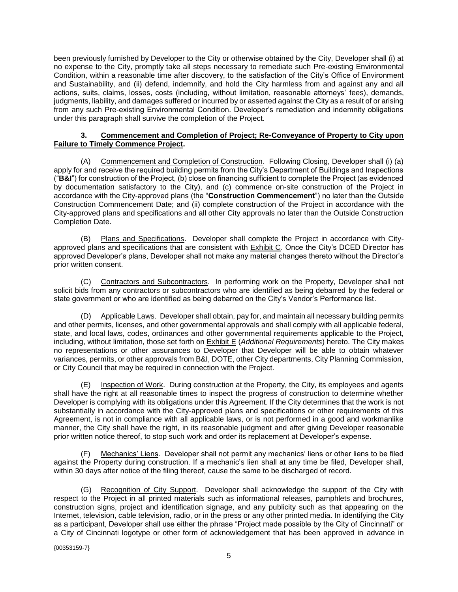been previously furnished by Developer to the City or otherwise obtained by the City, Developer shall (i) at no expense to the City, promptly take all steps necessary to remediate such Pre-existing Environmental Condition, within a reasonable time after discovery, to the satisfaction of the City's Office of Environment and Sustainability, and (ii) defend, indemnify, and hold the City harmless from and against any and all actions, suits, claims, losses, costs (including, without limitation, reasonable attorneys' fees), demands, judgments, liability, and damages suffered or incurred by or asserted against the City as a result of or arising from any such Pre-existing Environmental Condition. Developer's remediation and indemnity obligations under this paragraph shall survive the completion of the Project.

#### **3. Commencement and Completion of Project; Re-Conveyance of Property to City upon Failure to Timely Commence Project.**

(A) Commencement and Completion of Construction. Following Closing, Developer shall (i) (a) apply for and receive the required building permits from the City's Department of Buildings and Inspections ("**B&I**") for construction of the Project, (b) close on financing sufficient to complete the Project (as evidenced by documentation satisfactory to the City), and (c) commence on-site construction of the Project in accordance with the City-approved plans (the "**Construction Commencement**") no later than the Outside Construction Commencement Date; and (ii) complete construction of the Project in accordance with the City-approved plans and specifications and all other City approvals no later than the Outside Construction Completion Date.

(B) Plans and Specifications. Developer shall complete the Project in accordance with Cityapproved plans and specifications that are consistent with Exhibit C. Once the City's DCED Director has approved Developer's plans, Developer shall not make any material changes thereto without the Director's prior written consent.

(C) Contractors and Subcontractors. In performing work on the Property, Developer shall not solicit bids from any contractors or subcontractors who are identified as being debarred by the federal or state government or who are identified as being debarred on the City's Vendor's Performance list.

(D) Applicable Laws. Developer shall obtain, pay for, and maintain all necessary building permits and other permits, licenses, and other governmental approvals and shall comply with all applicable federal, state, and local laws, codes, ordinances and other governmental requirements applicable to the Project, including, without limitation, those set forth on Exhibit E (*Additional Requirements*) hereto. The City makes no representations or other assurances to Developer that Developer will be able to obtain whatever variances, permits, or other approvals from B&I, DOTE, other City departments, City Planning Commission, or City Council that may be required in connection with the Project.

(E) Inspection of Work. During construction at the Property, the City, its employees and agents shall have the right at all reasonable times to inspect the progress of construction to determine whether Developer is complying with its obligations under this Agreement. If the City determines that the work is not substantially in accordance with the City-approved plans and specifications or other requirements of this Agreement, is not in compliance with all applicable laws, or is not performed in a good and workmanlike manner, the City shall have the right, in its reasonable judgment and after giving Developer reasonable prior written notice thereof, to stop such work and order its replacement at Developer's expense.

Mechanics' Liens. Developer shall not permit any mechanics' liens or other liens to be filed against the Property during construction. If a mechanic's lien shall at any time be filed, Developer shall, within 30 days after notice of the filing thereof, cause the same to be discharged of record.

(G) Recognition of City Support. Developer shall acknowledge the support of the City with respect to the Project in all printed materials such as informational releases, pamphlets and brochures, construction signs, project and identification signage, and any publicity such as that appearing on the Internet, television, cable television, radio, or in the press or any other printed media. In identifying the City as a participant, Developer shall use either the phrase "Project made possible by the City of Cincinnati" or a City of Cincinnati logotype or other form of acknowledgement that has been approved in advance in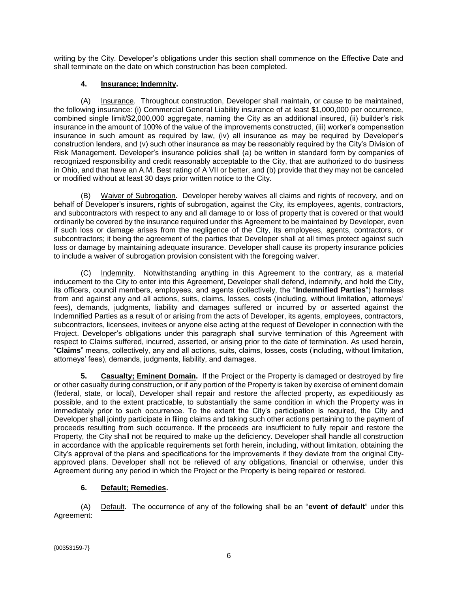writing by the City. Developer's obligations under this section shall commence on the Effective Date and shall terminate on the date on which construction has been completed.

## **4. Insurance; Indemnity.**

(A) Insurance. Throughout construction, Developer shall maintain, or cause to be maintained, the following insurance: (i) Commercial General Liability insurance of at least \$1,000,000 per occurrence, combined single limit/\$2,000,000 aggregate, naming the City as an additional insured, (ii) builder's risk insurance in the amount of 100% of the value of the improvements constructed, (iii) worker's compensation insurance in such amount as required by law, (iv) all insurance as may be required by Developer's construction lenders, and (v) such other insurance as may be reasonably required by the City's Division of Risk Management. Developer's insurance policies shall (a) be written in standard form by companies of recognized responsibility and credit reasonably acceptable to the City, that are authorized to do business in Ohio, and that have an A.M. Best rating of A VII or better, and (b) provide that they may not be canceled or modified without at least 30 days prior written notice to the City.

(B) Waiver of Subrogation. Developer hereby waives all claims and rights of recovery, and on behalf of Developer's insurers, rights of subrogation, against the City, its employees, agents, contractors, and subcontractors with respect to any and all damage to or loss of property that is covered or that would ordinarily be covered by the insurance required under this Agreement to be maintained by Developer, even if such loss or damage arises from the negligence of the City, its employees, agents, contractors, or subcontractors; it being the agreement of the parties that Developer shall at all times protect against such loss or damage by maintaining adequate insurance. Developer shall cause its property insurance policies to include a waiver of subrogation provision consistent with the foregoing waiver.

(C) Indemnity. Notwithstanding anything in this Agreement to the contrary, as a material inducement to the City to enter into this Agreement, Developer shall defend, indemnify, and hold the City, its officers, council members, employees, and agents (collectively, the "**Indemnified Parties**") harmless from and against any and all actions, suits, claims, losses, costs (including, without limitation, attorneys' fees), demands, judgments, liability and damages suffered or incurred by or asserted against the Indemnified Parties as a result of or arising from the acts of Developer, its agents, employees, contractors, subcontractors, licensees, invitees or anyone else acting at the request of Developer in connection with the Project. Developer's obligations under this paragraph shall survive termination of this Agreement with respect to Claims suffered, incurred, asserted, or arising prior to the date of termination. As used herein, "**Claims**" means, collectively, any and all actions, suits, claims, losses, costs (including, without limitation, attorneys' fees), demands, judgments, liability, and damages.

**5. Casualty; Eminent Domain.** If the Project or the Property is damaged or destroyed by fire or other casualty during construction, or if any portion of the Property is taken by exercise of eminent domain (federal, state, or local), Developer shall repair and restore the affected property, as expeditiously as possible, and to the extent practicable, to substantially the same condition in which the Property was in immediately prior to such occurrence. To the extent the City's participation is required, the City and Developer shall jointly participate in filing claims and taking such other actions pertaining to the payment of proceeds resulting from such occurrence. If the proceeds are insufficient to fully repair and restore the Property, the City shall not be required to make up the deficiency. Developer shall handle all construction in accordance with the applicable requirements set forth herein, including, without limitation, obtaining the City's approval of the plans and specifications for the improvements if they deviate from the original Cityapproved plans. Developer shall not be relieved of any obligations, financial or otherwise, under this Agreement during any period in which the Project or the Property is being repaired or restored.

## **6. Default; Remedies.**

(A) Default. The occurrence of any of the following shall be an "**event of default**" under this Agreement: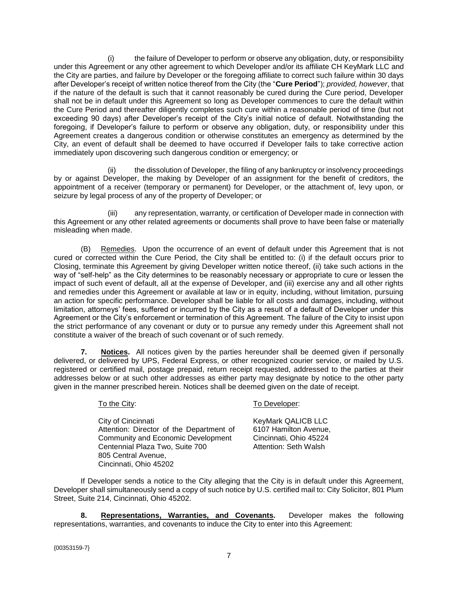(i) the failure of Developer to perform or observe any obligation, duty, or responsibility under this Agreement or any other agreement to which Developer and/or its affiliate CH KeyMark LLC and the City are parties, and failure by Developer or the foregoing affiliate to correct such failure within 30 days after Developer's receipt of written notice thereof from the City (the "**Cure Period**"); *provided, however*, that if the nature of the default is such that it cannot reasonably be cured during the Cure period, Developer shall not be in default under this Agreement so long as Developer commences to cure the default within the Cure Period and thereafter diligently completes such cure within a reasonable period of time (but not exceeding 90 days) after Developer's receipt of the City's initial notice of default. Notwithstanding the foregoing, if Developer's failure to perform or observe any obligation, duty, or responsibility under this Agreement creates a dangerous condition or otherwise constitutes an emergency as determined by the City, an event of default shall be deemed to have occurred if Developer fails to take corrective action immediately upon discovering such dangerous condition or emergency; or

the dissolution of Developer, the filing of any bankruptcy or insolvency proceedings by or against Developer, the making by Developer of an assignment for the benefit of creditors, the appointment of a receiver (temporary or permanent) for Developer, or the attachment of, levy upon, or seizure by legal process of any of the property of Developer; or

(iii) any representation, warranty, or certification of Developer made in connection with this Agreement or any other related agreements or documents shall prove to have been false or materially misleading when made.

(B) Remedies. Upon the occurrence of an event of default under this Agreement that is not cured or corrected within the Cure Period, the City shall be entitled to: (i) if the default occurs prior to Closing, terminate this Agreement by giving Developer written notice thereof, (ii) take such actions in the way of "self-help" as the City determines to be reasonably necessary or appropriate to cure or lessen the impact of such event of default, all at the expense of Developer, and (iii) exercise any and all other rights and remedies under this Agreement or available at law or in equity, including, without limitation, pursuing an action for specific performance. Developer shall be liable for all costs and damages, including, without limitation, attorneys' fees, suffered or incurred by the City as a result of a default of Developer under this Agreement or the City's enforcement or termination of this Agreement. The failure of the City to insist upon the strict performance of any covenant or duty or to pursue any remedy under this Agreement shall not constitute a waiver of the breach of such covenant or of such remedy.

**7. Notices.** All notices given by the parties hereunder shall be deemed given if personally delivered, or delivered by UPS, Federal Express, or other recognized courier service, or mailed by U.S. registered or certified mail, postage prepaid, return receipt requested, addressed to the parties at their addresses below or at such other addresses as either party may designate by notice to the other party given in the manner prescribed herein. Notices shall be deemed given on the date of receipt.

| To the City:                                                                                                                                                   | To Developer:                                                                                  |
|----------------------------------------------------------------------------------------------------------------------------------------------------------------|------------------------------------------------------------------------------------------------|
| City of Cincinnati<br>Attention: Director of the Department of<br>Community and Economic Development<br>Centennial Plaza Two, Suite 700<br>805 Central Avenue, | KeyMark QALICB LLC<br>6107 Hamilton Avenue,<br>Cincinnati, Ohio 45224<br>Attention: Seth Walsh |
| Cincinnati, Ohio 45202                                                                                                                                         |                                                                                                |

If Developer sends a notice to the City alleging that the City is in default under this Agreement, Developer shall simultaneously send a copy of such notice by U.S. certified mail to: City Solicitor, 801 Plum Street, Suite 214, Cincinnati, Ohio 45202.

**8. Representations, Warranties, and Covenants.** Developer makes the following representations, warranties, and covenants to induce the City to enter into this Agreement: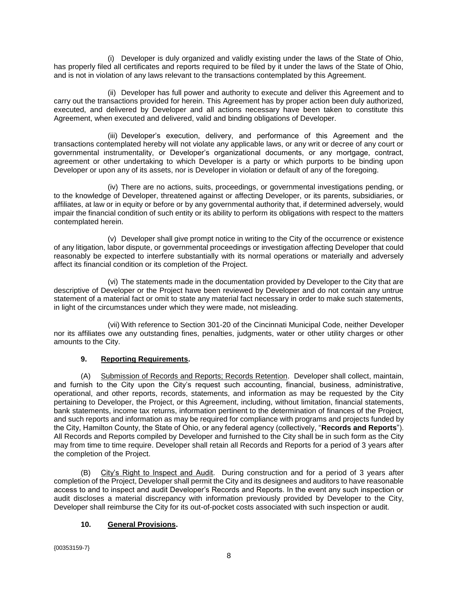(i) Developer is duly organized and validly existing under the laws of the State of Ohio, has properly filed all certificates and reports required to be filed by it under the laws of the State of Ohio, and is not in violation of any laws relevant to the transactions contemplated by this Agreement.

(ii) Developer has full power and authority to execute and deliver this Agreement and to carry out the transactions provided for herein. This Agreement has by proper action been duly authorized, executed, and delivered by Developer and all actions necessary have been taken to constitute this Agreement, when executed and delivered, valid and binding obligations of Developer.

(iii) Developer's execution, delivery, and performance of this Agreement and the transactions contemplated hereby will not violate any applicable laws, or any writ or decree of any court or governmental instrumentality, or Developer's organizational documents, or any mortgage, contract, agreement or other undertaking to which Developer is a party or which purports to be binding upon Developer or upon any of its assets, nor is Developer in violation or default of any of the foregoing.

(iv) There are no actions, suits, proceedings, or governmental investigations pending, or to the knowledge of Developer, threatened against or affecting Developer, or its parents, subsidiaries, or affiliates, at law or in equity or before or by any governmental authority that, if determined adversely, would impair the financial condition of such entity or its ability to perform its obligations with respect to the matters contemplated herein.

(v) Developer shall give prompt notice in writing to the City of the occurrence or existence of any litigation, labor dispute, or governmental proceedings or investigation affecting Developer that could reasonably be expected to interfere substantially with its normal operations or materially and adversely affect its financial condition or its completion of the Project.

(vi) The statements made in the documentation provided by Developer to the City that are descriptive of Developer or the Project have been reviewed by Developer and do not contain any untrue statement of a material fact or omit to state any material fact necessary in order to make such statements, in light of the circumstances under which they were made, not misleading.

(vii) With reference to Section 301-20 of the Cincinnati Municipal Code, neither Developer nor its affiliates owe any outstanding fines, penalties, judgments, water or other utility charges or other amounts to the City.

## **9. Reporting Requirements.**

(A) Submission of Records and Reports; Records Retention. Developer shall collect, maintain, and furnish to the City upon the City's request such accounting, financial, business, administrative, operational, and other reports, records, statements, and information as may be requested by the City pertaining to Developer, the Project, or this Agreement, including, without limitation, financial statements, bank statements, income tax returns, information pertinent to the determination of finances of the Project, and such reports and information as may be required for compliance with programs and projects funded by the City, Hamilton County, the State of Ohio, or any federal agency (collectively, "**Records and Reports**"). All Records and Reports compiled by Developer and furnished to the City shall be in such form as the City may from time to time require. Developer shall retain all Records and Reports for a period of 3 years after the completion of the Project.

(B) City's Right to Inspect and Audit. During construction and for a period of 3 years after completion of the Project, Developer shall permit the City and its designees and auditors to have reasonable access to and to inspect and audit Developer's Records and Reports. In the event any such inspection or audit discloses a material discrepancy with information previously provided by Developer to the City, Developer shall reimburse the City for its out-of-pocket costs associated with such inspection or audit.

## **10. General Provisions.**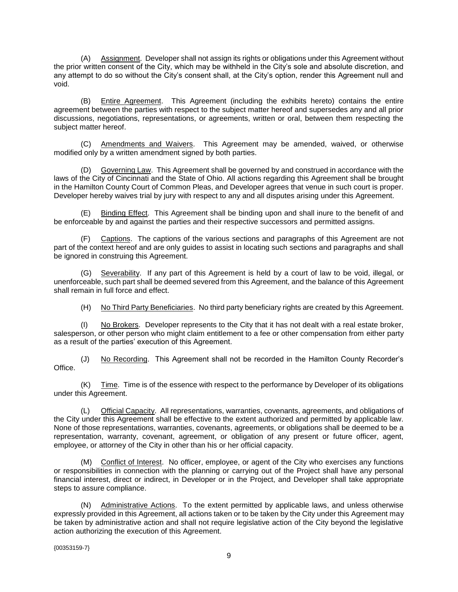(A) Assignment. Developer shall not assign its rights or obligations under this Agreement without the prior written consent of the City, which may be withheld in the City's sole and absolute discretion, and any attempt to do so without the City's consent shall, at the City's option, render this Agreement null and void.

(B) Entire Agreement. This Agreement (including the exhibits hereto) contains the entire agreement between the parties with respect to the subject matter hereof and supersedes any and all prior discussions, negotiations, representations, or agreements, written or oral, between them respecting the subject matter hereof.

(C) Amendments and Waivers. This Agreement may be amended, waived, or otherwise modified only by a written amendment signed by both parties.

(D) Governing Law. This Agreement shall be governed by and construed in accordance with the laws of the City of Cincinnati and the State of Ohio. All actions regarding this Agreement shall be brought in the Hamilton County Court of Common Pleas, and Developer agrees that venue in such court is proper. Developer hereby waives trial by jury with respect to any and all disputes arising under this Agreement.

(E) Binding Effect. This Agreement shall be binding upon and shall inure to the benefit of and be enforceable by and against the parties and their respective successors and permitted assigns.

(F) Captions. The captions of the various sections and paragraphs of this Agreement are not part of the context hereof and are only guides to assist in locating such sections and paragraphs and shall be ignored in construing this Agreement.

(G) Severability. If any part of this Agreement is held by a court of law to be void, illegal, or unenforceable, such part shall be deemed severed from this Agreement, and the balance of this Agreement shall remain in full force and effect.

(H) No Third Party Beneficiaries. No third party beneficiary rights are created by this Agreement.

(I) No Brokers. Developer represents to the City that it has not dealt with a real estate broker, salesperson, or other person who might claim entitlement to a fee or other compensation from either party as a result of the parties' execution of this Agreement.

(J) No Recording. This Agreement shall not be recorded in the Hamilton County Recorder's Office.

(K) Time. Time is of the essence with respect to the performance by Developer of its obligations under this Agreement.

(L) Official Capacity. All representations, warranties, covenants, agreements, and obligations of the City under this Agreement shall be effective to the extent authorized and permitted by applicable law. None of those representations, warranties, covenants, agreements, or obligations shall be deemed to be a representation, warranty, covenant, agreement, or obligation of any present or future officer, agent, employee, or attorney of the City in other than his or her official capacity.

(M) Conflict of Interest. No officer, employee, or agent of the City who exercises any functions or responsibilities in connection with the planning or carrying out of the Project shall have any personal financial interest, direct or indirect, in Developer or in the Project, and Developer shall take appropriate steps to assure compliance.

(N) Administrative Actions. To the extent permitted by applicable laws, and unless otherwise expressly provided in this Agreement, all actions taken or to be taken by the City under this Agreement may be taken by administrative action and shall not require legislative action of the City beyond the legislative action authorizing the execution of this Agreement.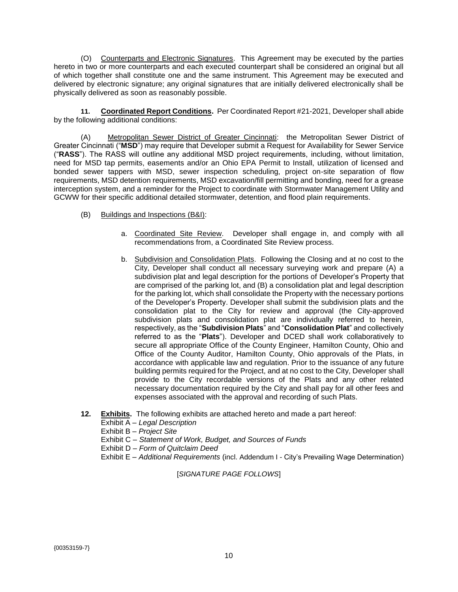(O) Counterparts and Electronic Signatures. This Agreement may be executed by the parties hereto in two or more counterparts and each executed counterpart shall be considered an original but all of which together shall constitute one and the same instrument. This Agreement may be executed and delivered by electronic signature; any original signatures that are initially delivered electronically shall be physically delivered as soon as reasonably possible.

**11. Coordinated Report Conditions.** Per Coordinated Report #21-2021, Developer shall abide by the following additional conditions:

(A) Metropolitan Sewer District of Greater Cincinnati: the Metropolitan Sewer District of Greater Cincinnati ("**MSD**") may require that Developer submit a Request for Availability for Sewer Service ("**RASS**"). The RASS will outline any additional MSD project requirements, including, without limitation, need for MSD tap permits, easements and/or an Ohio EPA Permit to Install, utilization of licensed and bonded sewer tappers with MSD, sewer inspection scheduling, project on-site separation of flow requirements, MSD detention requirements, MSD excavation/fill permitting and bonding, need for a grease interception system, and a reminder for the Project to coordinate with Stormwater Management Utility and GCWW for their specific additional detailed stormwater, detention, and flood plain requirements.

- (B) Buildings and Inspections (B&I):
	- a. Coordinated Site Review. Developer shall engage in, and comply with all recommendations from, a Coordinated Site Review process.
	- b. Subdivision and Consolidation Plats. Following the Closing and at no cost to the City, Developer shall conduct all necessary surveying work and prepare (A) a subdivision plat and legal description for the portions of Developer's Property that are comprised of the parking lot, and (B) a consolidation plat and legal description for the parking lot, which shall consolidate the Property with the necessary portions of the Developer's Property. Developer shall submit the subdivision plats and the consolidation plat to the City for review and approval (the City-approved subdivision plats and consolidation plat are individually referred to herein, respectively, as the "**Subdivision Plats**" and "**Consolidation Plat**" and collectively referred to as the "**Plats**"). Developer and DCED shall work collaboratively to secure all appropriate Office of the County Engineer, Hamilton County, Ohio and Office of the County Auditor, Hamilton County, Ohio approvals of the Plats, in accordance with applicable law and regulation. Prior to the issuance of any future building permits required for the Project, and at no cost to the City, Developer shall provide to the City recordable versions of the Plats and any other related necessary documentation required by the City and shall pay for all other fees and expenses associated with the approval and recording of such Plats.
- **12. Exhibits.** The following exhibits are attached hereto and made a part hereof:
	- Exhibit A *Legal Description*

Exhibit B – *Project Site*

Exhibit C – *Statement of Work, Budget, and Sources of Funds*

Exhibit D – *Form of Quitclaim Deed*

Exhibit E – *Additional Requirements* (incl. Addendum I - City's Prevailing Wage Determination)

[*SIGNATURE PAGE FOLLOWS*]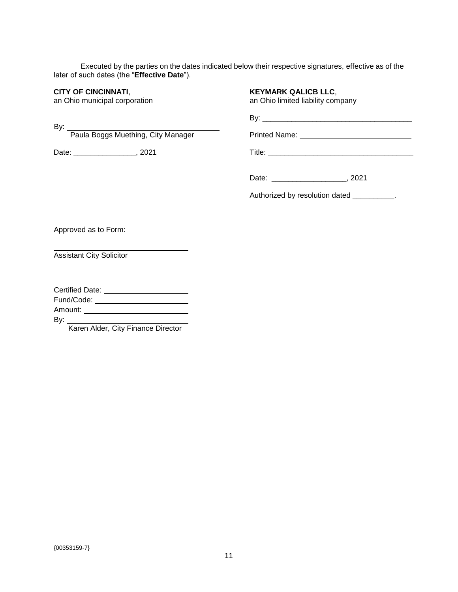Executed by the parties on the dates indicated below their respective signatures, effective as of the later of such dates (the "**Effective Date**").

## **CITY OF CINCINNATI**,

an Ohio municipal corporation

By:  $\_\_$ 

Paula Boggs Muething, City Manager

Date: \_\_\_\_\_\_\_\_\_\_\_\_\_\_\_\_, 2021

# **KEYMARK QALICB LLC**,

an Ohio limited liability company

| - |  | ___________ |  |
|---|--|-------------|--|
|   |  |             |  |

| <b>Printed Name:</b> |  |
|----------------------|--|
|                      |  |

Title: \_\_\_\_\_\_\_\_\_\_\_\_\_\_\_\_\_\_\_\_\_\_\_\_\_\_\_\_\_\_\_\_\_\_\_

Date: \_\_\_\_\_\_\_\_\_\_\_\_\_\_\_\_\_\_, 2021

Authorized by resolution dated \_\_\_\_\_\_\_\_\_\_.

Approved as to Form:

Assistant City Solicitor

| Certified Date: |  |
|-----------------|--|
|                 |  |

Fund/Code:

Amount:

By:

Karen Alder, City Finance Director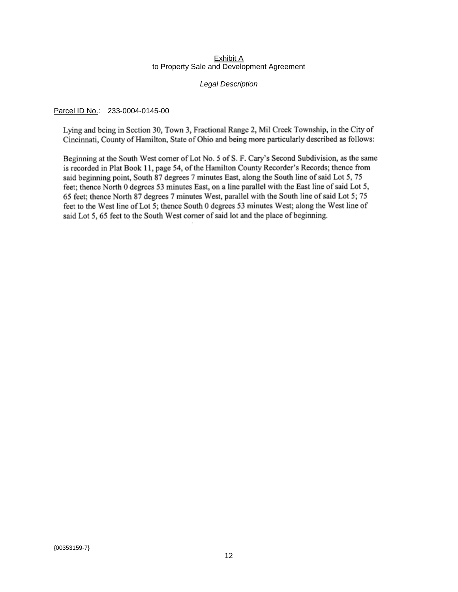#### Exhibit A to Property Sale and Development Agreement

#### *Legal Description*

Parcel ID No.: 233-0004-0145-00

Lying and being in Section 30, Town 3, Fractional Range 2, Mil Creek Township, in the City of Cincinnati, County of Hamilton, State of Ohio and being more particularly described as follows:

Beginning at the South West corner of Lot No. 5 of S. F. Cary's Second Subdivision, as the same is recorded in Plat Book 11, page 54, of the Hamilton County Recorder's Records; thence from said beginning point, South 87 degrees 7 minutes East, along the South line of said Lot 5, 75 feet; thence North 0 degrees 53 minutes East, on a line parallel with the East line of said Lot 5, 65 feet; thence North 87 degrees 7 minutes West, parallel with the South line of said Lot 5; 75 feet to the West line of Lot 5; thence South 0 degrees 53 minutes West; along the West line of said Lot 5, 65 feet to the South West corner of said lot and the place of beginning.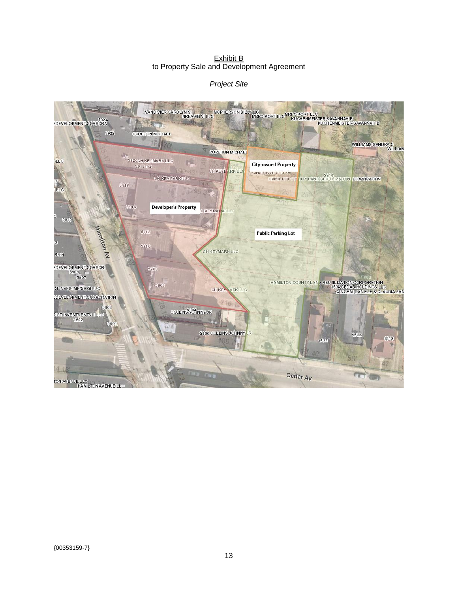#### Exhibit B to Property Sale and Development Agreement

#### *Project Site*

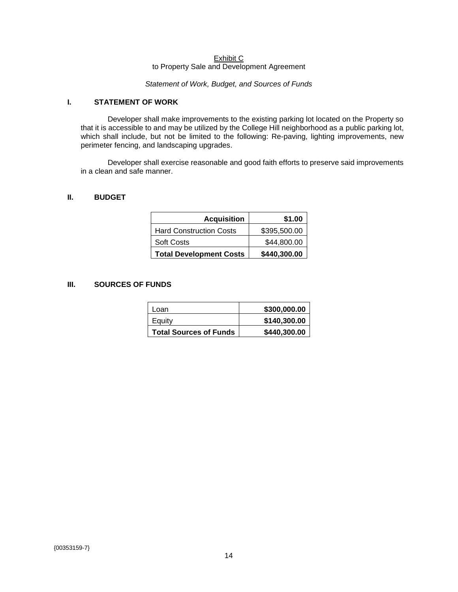#### Exhibit C to Property Sale and Development Agreement

#### *Statement of Work, Budget, and Sources of Funds*

## **I. STATEMENT OF WORK**

Developer shall make improvements to the existing parking lot located on the Property so that it is accessible to and may be utilized by the College Hill neighborhood as a public parking lot, which shall include, but not be limited to the following: Re-paving, lighting improvements, new perimeter fencing, and landscaping upgrades.

Developer shall exercise reasonable and good faith efforts to preserve said improvements in a clean and safe manner.

## **II. BUDGET**

| <b>Acquisition</b>             | \$1.00       |
|--------------------------------|--------------|
| <b>Hard Construction Costs</b> | \$395,500.00 |
| <b>Soft Costs</b>              | \$44,800.00  |
| <b>Total Development Costs</b> | \$440,300.00 |

## **III. SOURCES OF FUNDS**

| _oan                          | \$300,000.00 |
|-------------------------------|--------------|
| Equity                        | \$140,300.00 |
| <b>Total Sources of Funds</b> | \$440,300.00 |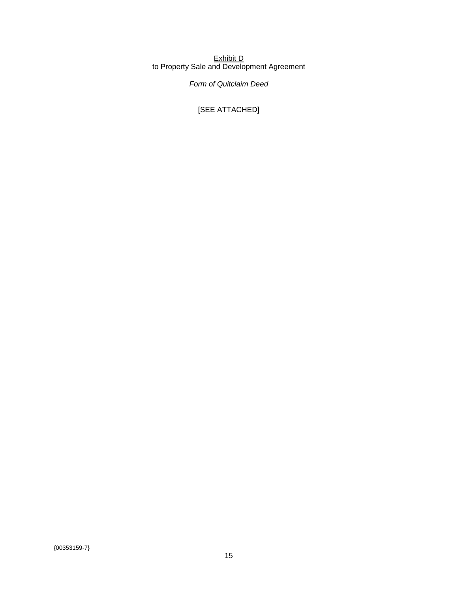Exhibit D to Property Sale and Development Agreement

*Form of Quitclaim Deed*

[SEE ATTACHED]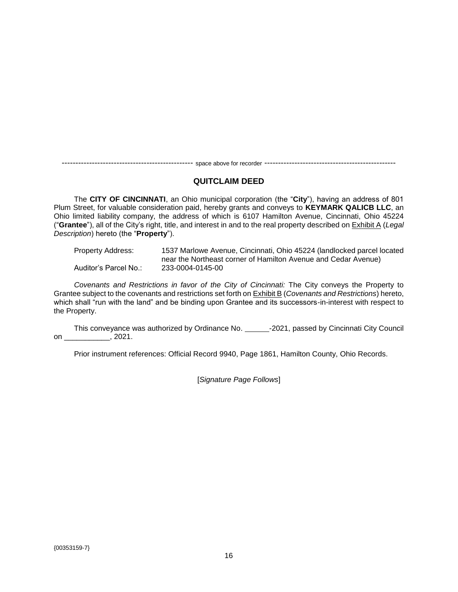------------------------------------------------ space above for recorder ------------------------------------------------

## **QUITCLAIM DEED**

The **CITY OF CINCINNATI**, an Ohio municipal corporation (the "**City**"), having an address of 801 Plum Street, for valuable consideration paid, hereby grants and conveys to **KEYMARK QALICB LLC**, an Ohio limited liability company, the address of which is 6107 Hamilton Avenue, Cincinnati, Ohio 45224 ("**Grantee**"), all of the City's right, title, and interest in and to the real property described on Exhibit A (*Legal Description*) hereto (the "**Property**").

| Property Address:      | 1537 Marlowe Avenue, Cincinnati, Ohio 45224 (landlocked parcel located |
|------------------------|------------------------------------------------------------------------|
|                        | near the Northeast corner of Hamilton Avenue and Cedar Avenue)         |
| Auditor's Parcel No.:_ | 233-0004-0145-00                                                       |

*Covenants and Restrictions in favor of the City of Cincinnati:* The City conveys the Property to Grantee subject to the covenants and restrictions set forth on Exhibit B (*Covenants and Restrictions*) hereto, which shall "run with the land" and be binding upon Grantee and its successors-in-interest with respect to the Property.

This conveyance was authorized by Ordinance No. \_\_\_\_\_\_\_-2021, passed by Cincinnati City Council on \_\_\_\_\_\_\_\_\_\_\_, 2021.

Prior instrument references: Official Record 9940, Page 1861, Hamilton County, Ohio Records.

[*Signature Page Follows*]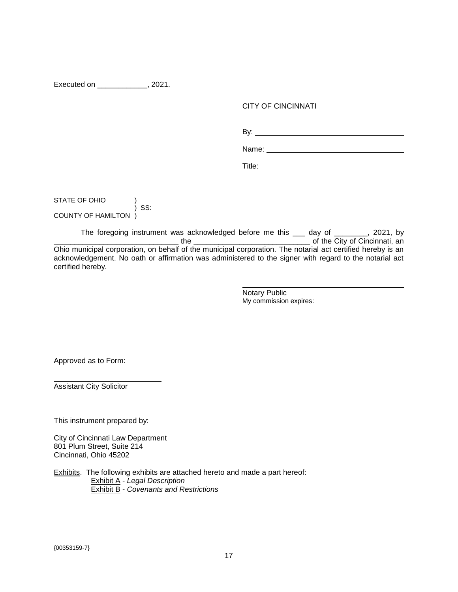Executed on  $\qquad \qquad$ , 2021.

#### CITY OF CINCINNATI

| By: |
|-----|
|-----|

STATE OF OHIO ) SS: COUNTY OF HAMILTON )

The foregoing instrument was acknowledged before me this <u>equal</u> of **example 10**, 2021, by \_\_\_\_\_\_\_\_\_\_\_\_\_\_\_\_\_\_\_\_\_\_\_\_\_\_\_\_\_\_ the \_\_\_\_\_\_\_\_\_\_\_\_\_\_\_\_\_\_\_\_\_\_\_\_\_\_\_\_ of the City of Cincinnati, an Ohio municipal corporation, on behalf of the municipal corporation. The notarial act certified hereby is an acknowledgement. No oath or affirmation was administered to the signer with regard to the notarial act certified hereby.

> Notary Public My commission expires:

Approved as to Form:

Assistant City Solicitor

This instrument prepared by:

City of Cincinnati Law Department 801 Plum Street, Suite 214 Cincinnati, Ohio 45202

Exhibits. The following exhibits are attached hereto and made a part hereof: Exhibit A - *Legal Description* Exhibit B - *Covenants and Restrictions*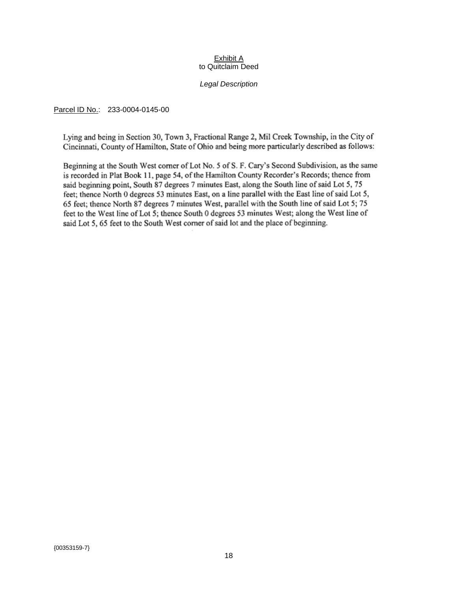#### Exhibit A to Quitclaim Deed

#### *Legal Description*

Parcel ID No.: 233-0004-0145-00

Lying and being in Section 30, Town 3, Fractional Range 2, Mil Creek Township, in the City of Cincinnati, County of Hamilton, State of Ohio and being more particularly described as follows:

Beginning at the South West corner of Lot No. 5 of S. F. Cary's Second Subdivision, as the same is recorded in Plat Book 11, page 54, of the Hamilton County Recorder's Records; thence from said beginning point, South 87 degrees 7 minutes East, along the South line of said Lot 5, 75 feet; thence North 0 degrees 53 minutes East, on a line parallel with the East line of said Lot 5, 65 feet; thence North 87 degrees 7 minutes West, parallel with the South line of said Lot 5; 75 feet to the West line of Lot 5; thence South 0 degrees 53 minutes West; along the West line of said Lot 5, 65 feet to the South West corner of said lot and the place of beginning.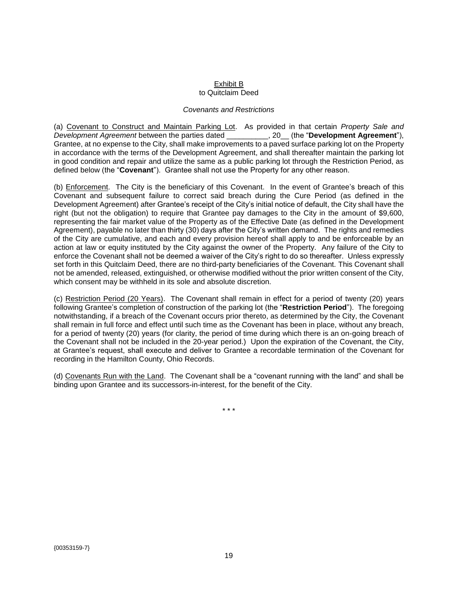#### Exhibit B to Quitclaim Deed

#### *Covenants and Restrictions*

(a) Covenant to Construct and Maintain Parking Lot. As provided in that certain *Property Sale and Development Agreement* between the parties dated \_\_\_\_\_\_\_\_\_\_, 20\_\_ (the "**Development Agreement**"), Grantee, at no expense to the City, shall make improvements to a paved surface parking lot on the Property in accordance with the terms of the Development Agreement, and shall thereafter maintain the parking lot in good condition and repair and utilize the same as a public parking lot through the Restriction Period, as defined below (the "**Covenant**"). Grantee shall not use the Property for any other reason.

(b) Enforcement. The City is the beneficiary of this Covenant. In the event of Grantee's breach of this Covenant and subsequent failure to correct said breach during the Cure Period (as defined in the Development Agreement) after Grantee's receipt of the City's initial notice of default, the City shall have the right (but not the obligation) to require that Grantee pay damages to the City in the amount of \$9,600, representing the fair market value of the Property as of the Effective Date (as defined in the Development Agreement), payable no later than thirty (30) days after the City's written demand. The rights and remedies of the City are cumulative, and each and every provision hereof shall apply to and be enforceable by an action at law or equity instituted by the City against the owner of the Property. Any failure of the City to enforce the Covenant shall not be deemed a waiver of the City's right to do so thereafter. Unless expressly set forth in this Quitclaim Deed, there are no third-party beneficiaries of the Covenant. This Covenant shall not be amended, released, extinguished, or otherwise modified without the prior written consent of the City, which consent may be withheld in its sole and absolute discretion.

(c) Restriction Period (20 Years). The Covenant shall remain in effect for a period of twenty (20) years following Grantee's completion of construction of the parking lot (the "**Restriction Period**"). The foregoing notwithstanding, if a breach of the Covenant occurs prior thereto, as determined by the City, the Covenant shall remain in full force and effect until such time as the Covenant has been in place, without any breach, for a period of twenty (20) years (for clarity, the period of time during which there is an on-going breach of the Covenant shall not be included in the 20-year period.) Upon the expiration of the Covenant, the City, at Grantee's request, shall execute and deliver to Grantee a recordable termination of the Covenant for recording in the Hamilton County, Ohio Records.

(d) Covenants Run with the Land. The Covenant shall be a "covenant running with the land" and shall be binding upon Grantee and its successors-in-interest, for the benefit of the City.

\* \* \*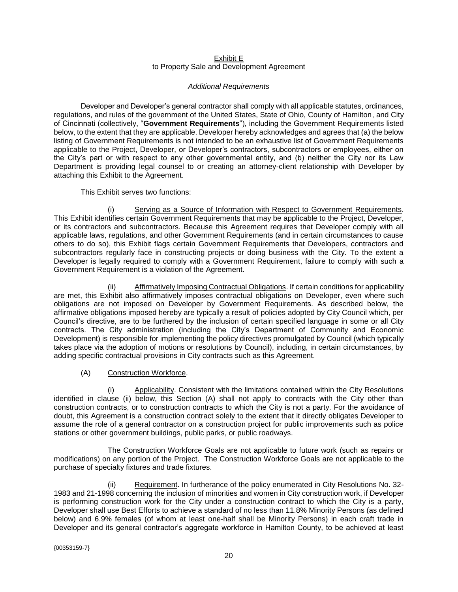#### Exhibit E to Property Sale and Development Agreement

#### *Additional Requirements*

Developer and Developer's general contractor shall comply with all applicable statutes, ordinances, regulations, and rules of the government of the United States, State of Ohio, County of Hamilton, and City of Cincinnati (collectively, "**Government Requirements**"), including the Government Requirements listed below, to the extent that they are applicable. Developer hereby acknowledges and agrees that (a) the below listing of Government Requirements is not intended to be an exhaustive list of Government Requirements applicable to the Project, Developer, or Developer's contractors, subcontractors or employees, either on the City's part or with respect to any other governmental entity, and (b) neither the City nor its Law Department is providing legal counsel to or creating an attorney-client relationship with Developer by attaching this Exhibit to the Agreement.

This Exhibit serves two functions:

(i) Serving as a Source of Information with Respect to Government Requirements. This Exhibit identifies certain Government Requirements that may be applicable to the Project, Developer, or its contractors and subcontractors. Because this Agreement requires that Developer comply with all applicable laws, regulations, and other Government Requirements (and in certain circumstances to cause others to do so), this Exhibit flags certain Government Requirements that Developers, contractors and subcontractors regularly face in constructing projects or doing business with the City. To the extent a Developer is legally required to comply with a Government Requirement, failure to comply with such a Government Requirement is a violation of the Agreement.

(ii) Affirmatively Imposing Contractual Obligations. If certain conditions for applicability are met, this Exhibit also affirmatively imposes contractual obligations on Developer, even where such obligations are not imposed on Developer by Government Requirements. As described below, the affirmative obligations imposed hereby are typically a result of policies adopted by City Council which, per Council's directive, are to be furthered by the inclusion of certain specified language in some or all City contracts. The City administration (including the City's Department of Community and Economic Development) is responsible for implementing the policy directives promulgated by Council (which typically takes place via the adoption of motions or resolutions by Council), including, in certain circumstances, by adding specific contractual provisions in City contracts such as this Agreement.

(A) Construction Workforce.

(i) Applicability. Consistent with the limitations contained within the City Resolutions identified in clause (ii) below, this Section (A) shall not apply to contracts with the City other than construction contracts, or to construction contracts to which the City is not a party. For the avoidance of doubt, this Agreement is a construction contract solely to the extent that it directly obligates Developer to assume the role of a general contractor on a construction project for public improvements such as police stations or other government buildings, public parks, or public roadways.

The Construction Workforce Goals are not applicable to future work (such as repairs or modifications) on any portion of the Project. The Construction Workforce Goals are not applicable to the purchase of specialty fixtures and trade fixtures.

(ii) Requirement. In furtherance of the policy enumerated in City Resolutions No. 32-1983 and 21-1998 concerning the inclusion of minorities and women in City construction work, if Developer is performing construction work for the City under a construction contract to which the City is a party, Developer shall use Best Efforts to achieve a standard of no less than 11.8% Minority Persons (as defined below) and 6.9% females (of whom at least one-half shall be Minority Persons) in each craft trade in Developer and its general contractor's aggregate workforce in Hamilton County, to be achieved at least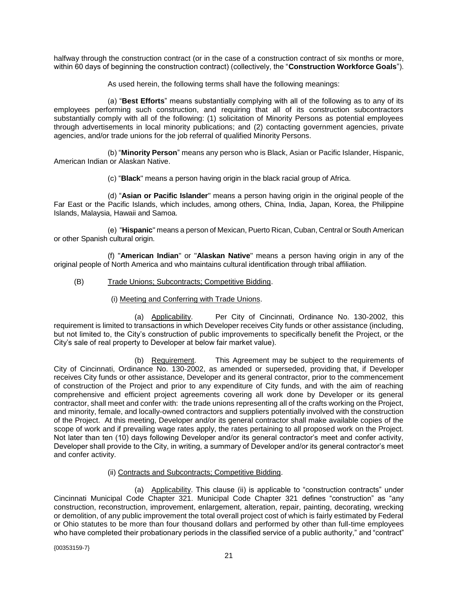halfway through the construction contract (or in the case of a construction contract of six months or more, within 60 days of beginning the construction contract) (collectively, the "**Construction Workforce Goals**").

As used herein, the following terms shall have the following meanings:

(a) "**Best Efforts**" means substantially complying with all of the following as to any of its employees performing such construction, and requiring that all of its construction subcontractors substantially comply with all of the following: (1) solicitation of Minority Persons as potential employees through advertisements in local minority publications; and (2) contacting government agencies, private agencies, and/or trade unions for the job referral of qualified Minority Persons.

(b) "**Minority Person**" means any person who is Black, Asian or Pacific Islander, Hispanic, American Indian or Alaskan Native.

(c) "**Black**" means a person having origin in the black racial group of Africa.

(d) "**Asian or Pacific Islander**" means a person having origin in the original people of the Far East or the Pacific Islands, which includes, among others, China, India, Japan, Korea, the Philippine Islands, Malaysia, Hawaii and Samoa.

(e) "**Hispanic**" means a person of Mexican, Puerto Rican, Cuban, Central or South American or other Spanish cultural origin.

(f) "**American Indian**" or "**Alaskan Native**" means a person having origin in any of the original people of North America and who maintains cultural identification through tribal affiliation.

## (B) Trade Unions; Subcontracts; Competitive Bidding.

(i) Meeting and Conferring with Trade Unions.

(a) Applicability. Per City of Cincinnati, Ordinance No. 130-2002, this requirement is limited to transactions in which Developer receives City funds or other assistance (including, but not limited to, the City's construction of public improvements to specifically benefit the Project, or the City's sale of real property to Developer at below fair market value).

(b) Requirement. This Agreement may be subject to the requirements of City of Cincinnati, Ordinance No. 130-2002, as amended or superseded, providing that, if Developer receives City funds or other assistance, Developer and its general contractor, prior to the commencement of construction of the Project and prior to any expenditure of City funds, and with the aim of reaching comprehensive and efficient project agreements covering all work done by Developer or its general contractor, shall meet and confer with: the trade unions representing all of the crafts working on the Project, and minority, female, and locally-owned contractors and suppliers potentially involved with the construction of the Project. At this meeting, Developer and/or its general contractor shall make available copies of the scope of work and if prevailing wage rates apply, the rates pertaining to all proposed work on the Project. Not later than ten (10) days following Developer and/or its general contractor's meet and confer activity, Developer shall provide to the City, in writing, a summary of Developer and/or its general contractor's meet and confer activity.

#### (ii) Contracts and Subcontracts; Competitive Bidding.

(a) Applicability. This clause (ii) is applicable to "construction contracts" under Cincinnati Municipal Code Chapter 321. Municipal Code Chapter 321 defines "construction" as "any construction, reconstruction, improvement, enlargement, alteration, repair, painting, decorating, wrecking or demolition, of any public improvement the total overall project cost of which is fairly estimated by Federal or Ohio statutes to be more than four thousand dollars and performed by other than full-time employees who have completed their probationary periods in the classified service of a public authority," and "contract"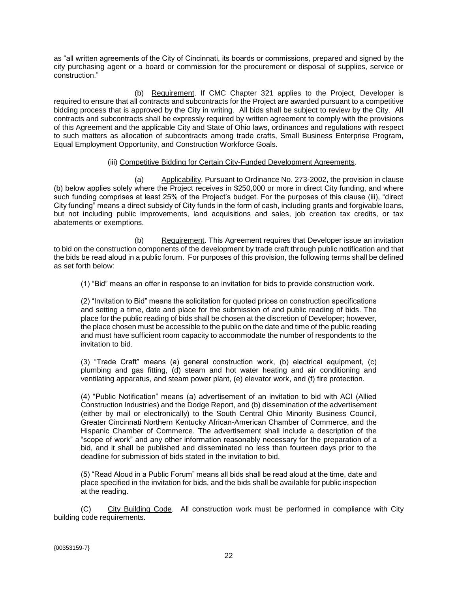as "all written agreements of the City of Cincinnati, its boards or commissions, prepared and signed by the city purchasing agent or a board or commission for the procurement or disposal of supplies, service or construction."

(b) Requirement. If CMC Chapter 321 applies to the Project, Developer is required to ensure that all contracts and subcontracts for the Project are awarded pursuant to a competitive bidding process that is approved by the City in writing. All bids shall be subject to review by the City. All contracts and subcontracts shall be expressly required by written agreement to comply with the provisions of this Agreement and the applicable City and State of Ohio laws, ordinances and regulations with respect to such matters as allocation of subcontracts among trade crafts, Small Business Enterprise Program, Equal Employment Opportunity, and Construction Workforce Goals.

#### (iii) Competitive Bidding for Certain City-Funded Development Agreements.

(a) Applicability. Pursuant to Ordinance No. 273-2002, the provision in clause (b) below applies solely where the Project receives in \$250,000 or more in direct City funding, and where such funding comprises at least 25% of the Project's budget. For the purposes of this clause (iii), "direct City funding" means a direct subsidy of City funds in the form of cash, including grants and forgivable loans, but not including public improvements, land acquisitions and sales, job creation tax credits, or tax abatements or exemptions.

(b) Requirement. This Agreement requires that Developer issue an invitation to bid on the construction components of the development by trade craft through public notification and that the bids be read aloud in a public forum. For purposes of this provision, the following terms shall be defined as set forth below:

(1) "Bid" means an offer in response to an invitation for bids to provide construction work.

(2) "Invitation to Bid" means the solicitation for quoted prices on construction specifications and setting a time, date and place for the submission of and public reading of bids. The place for the public reading of bids shall be chosen at the discretion of Developer; however, the place chosen must be accessible to the public on the date and time of the public reading and must have sufficient room capacity to accommodate the number of respondents to the invitation to bid.

(3) "Trade Craft" means (a) general construction work, (b) electrical equipment, (c) plumbing and gas fitting, (d) steam and hot water heating and air conditioning and ventilating apparatus, and steam power plant, (e) elevator work, and (f) fire protection.

(4) "Public Notification" means (a) advertisement of an invitation to bid with ACI (Allied Construction Industries) and the Dodge Report, and (b) dissemination of the advertisement (either by mail or electronically) to the South Central Ohio Minority Business Council, Greater Cincinnati Northern Kentucky African-American Chamber of Commerce, and the Hispanic Chamber of Commerce. The advertisement shall include a description of the "scope of work" and any other information reasonably necessary for the preparation of a bid, and it shall be published and disseminated no less than fourteen days prior to the deadline for submission of bids stated in the invitation to bid.

(5) "Read Aloud in a Public Forum" means all bids shall be read aloud at the time, date and place specified in the invitation for bids, and the bids shall be available for public inspection at the reading.

(C) City Building Code. All construction work must be performed in compliance with City building code requirements.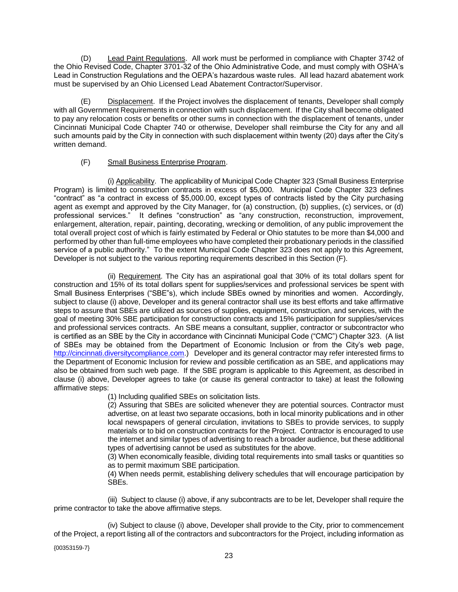(D) Lead Paint Regulations. All work must be performed in compliance with Chapter 3742 of the Ohio Revised Code, Chapter 3701-32 of the Ohio Administrative Code, and must comply with OSHA's Lead in Construction Regulations and the OEPA's hazardous waste rules. All lead hazard abatement work must be supervised by an Ohio Licensed Lead Abatement Contractor/Supervisor.

(E) Displacement. If the Project involves the displacement of tenants, Developer shall comply with all Government Requirements in connection with such displacement. If the City shall become obligated to pay any relocation costs or benefits or other sums in connection with the displacement of tenants, under Cincinnati Municipal Code Chapter 740 or otherwise, Developer shall reimburse the City for any and all such amounts paid by the City in connection with such displacement within twenty (20) days after the City's written demand.

## (F) Small Business Enterprise Program.

(i) Applicability. The applicability of Municipal Code Chapter 323 (Small Business Enterprise Program) is limited to construction contracts in excess of \$5,000. Municipal Code Chapter 323 defines "contract" as "a contract in excess of \$5,000.00, except types of contracts listed by the City purchasing agent as exempt and approved by the City Manager, for (a) construction, (b) supplies, (c) services, or (d) professional services." It defines "construction" as "any construction, reconstruction, improvement, enlargement, alteration, repair, painting, decorating, wrecking or demolition, of any public improvement the total overall project cost of which is fairly estimated by Federal or Ohio statutes to be more than \$4,000 and performed by other than full-time employees who have completed their probationary periods in the classified service of a public authority." To the extent Municipal Code Chapter 323 does not apply to this Agreement, Developer is not subject to the various reporting requirements described in this Section (F).

(ii) Requirement. The City has an aspirational goal that 30% of its total dollars spent for construction and 15% of its total dollars spent for supplies/services and professional services be spent with Small Business Enterprises ("SBE"s), which include SBEs owned by minorities and women. Accordingly, subject to clause (i) above, Developer and its general contractor shall use its best efforts and take affirmative steps to assure that SBEs are utilized as sources of supplies, equipment, construction, and services, with the goal of meeting 30% SBE participation for construction contracts and 15% participation for supplies/services and professional services contracts. An SBE means a consultant, supplier, contractor or subcontractor who is certified as an SBE by the City in accordance with Cincinnati Municipal Code ("CMC") Chapter 323. (A list of SBEs may be obtained from the Department of Economic Inclusion or from the City's web page, [http://cincinnati.diversitycompliance.com.](http://cincinnati.diversitycompliance.com/)) Developer and its general contractor may refer interested firms to the Department of Economic Inclusion for review and possible certification as an SBE, and applications may also be obtained from such web page. If the SBE program is applicable to this Agreement, as described in clause (i) above, Developer agrees to take (or cause its general contractor to take) at least the following affirmative steps:

(1) Including qualified SBEs on solicitation lists.

(2) Assuring that SBEs are solicited whenever they are potential sources. Contractor must advertise, on at least two separate occasions, both in local minority publications and in other local newspapers of general circulation, invitations to SBEs to provide services, to supply materials or to bid on construction contracts for the Project. Contractor is encouraged to use the internet and similar types of advertising to reach a broader audience, but these additional types of advertising cannot be used as substitutes for the above.

(3) When economically feasible, dividing total requirements into small tasks or quantities so as to permit maximum SBE participation.

(4) When needs permit, establishing delivery schedules that will encourage participation by SBEs.

(iii) Subject to clause (i) above, if any subcontracts are to be let, Developer shall require the prime contractor to take the above affirmative steps.

(iv) Subject to clause (i) above, Developer shall provide to the City, prior to commencement of the Project, a report listing all of the contractors and subcontractors for the Project, including information as

{00353159-7}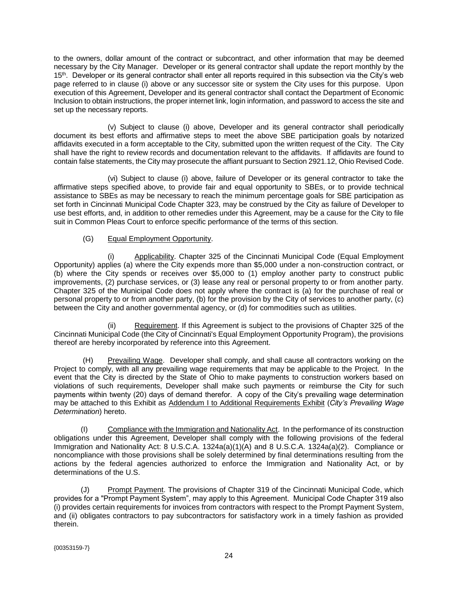to the owners, dollar amount of the contract or subcontract, and other information that may be deemed necessary by the City Manager. Developer or its general contractor shall update the report monthly by the 15<sup>th</sup>. Developer or its general contractor shall enter all reports required in this subsection via the City's web page referred to in clause (i) above or any successor site or system the City uses for this purpose. Upon execution of this Agreement, Developer and its general contractor shall contact the Department of Economic Inclusion to obtain instructions, the proper internet link, login information, and password to access the site and set up the necessary reports.

(v) Subject to clause (i) above, Developer and its general contractor shall periodically document its best efforts and affirmative steps to meet the above SBE participation goals by notarized affidavits executed in a form acceptable to the City, submitted upon the written request of the City. The City shall have the right to review records and documentation relevant to the affidavits. If affidavits are found to contain false statements, the City may prosecute the affiant pursuant to Section 2921.12, Ohio Revised Code.

(vi) Subject to clause (i) above, failure of Developer or its general contractor to take the affirmative steps specified above, to provide fair and equal opportunity to SBEs, or to provide technical assistance to SBEs as may be necessary to reach the minimum percentage goals for SBE participation as set forth in Cincinnati Municipal Code Chapter 323, may be construed by the City as failure of Developer to use best efforts, and, in addition to other remedies under this Agreement, may be a cause for the City to file suit in Common Pleas Court to enforce specific performance of the terms of this section.

## (G) Equal Employment Opportunity.

(i) Applicability. Chapter 325 of the Cincinnati Municipal Code (Equal Employment Opportunity) applies (a) where the City expends more than \$5,000 under a non-construction contract, or (b) where the City spends or receives over \$5,000 to (1) employ another party to construct public improvements, (2) purchase services, or (3) lease any real or personal property to or from another party. Chapter 325 of the Municipal Code does not apply where the contract is (a) for the purchase of real or personal property to or from another party, (b) for the provision by the City of services to another party, (c) between the City and another governmental agency, or (d) for commodities such as utilities.

Requirement. If this Agreement is subject to the provisions of Chapter 325 of the Cincinnati Municipal Code (the City of Cincinnati's Equal Employment Opportunity Program), the provisions thereof are hereby incorporated by reference into this Agreement.

Prevailing Wage. Developer shall comply, and shall cause all contractors working on the Project to comply, with all any prevailing wage requirements that may be applicable to the Project. In the event that the City is directed by the State of Ohio to make payments to construction workers based on violations of such requirements, Developer shall make such payments or reimburse the City for such payments within twenty (20) days of demand therefor. A copy of the City's prevailing wage determination may be attached to this Exhibit as Addendum I to Additional Requirements Exhibit (*City's Prevailing Wage Determination*) hereto.

(I) Compliance with the Immigration and Nationality Act. In the performance of its construction obligations under this Agreement, Developer shall comply with the following provisions of the federal Immigration and Nationality Act: 8 U.S.C.A. 1324a(a)(1)(A) and 8 U.S.C.A. 1324a(a)(2). Compliance or noncompliance with those provisions shall be solely determined by final determinations resulting from the actions by the federal agencies authorized to enforce the Immigration and Nationality Act, or by determinations of the U.S.

(J) Prompt Payment. The provisions of Chapter 319 of the Cincinnati Municipal Code, which provides for a "Prompt Payment System", may apply to this Agreement. Municipal Code Chapter 319 also (i) provides certain requirements for invoices from contractors with respect to the Prompt Payment System, and (ii) obligates contractors to pay subcontractors for satisfactory work in a timely fashion as provided therein.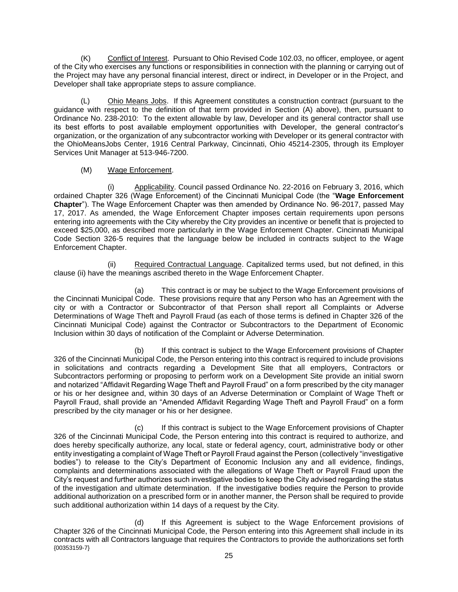(K) Conflict of Interest. Pursuant to Ohio Revised Code 102.03, no officer, employee, or agent of the City who exercises any functions or responsibilities in connection with the planning or carrying out of the Project may have any personal financial interest, direct or indirect, in Developer or in the Project, and Developer shall take appropriate steps to assure compliance.

(L) Ohio Means Jobs. If this Agreement constitutes a construction contract (pursuant to the guidance with respect to the definition of that term provided in Section (A) above), then, pursuant to Ordinance No. 238-2010: To the extent allowable by law, Developer and its general contractor shall use its best efforts to post available employment opportunities with Developer, the general contractor's organization, or the organization of any subcontractor working with Developer or its general contractor with the OhioMeansJobs Center, 1916 Central Parkway, Cincinnati, Ohio 45214-2305, through its Employer Services Unit Manager at 513-946-7200.

## (M) Wage Enforcement.

(i) Applicability. Council passed Ordinance No. 22-2016 on February 3, 2016, which ordained Chapter 326 (Wage Enforcement) of the Cincinnati Municipal Code (the "**Wage Enforcement Chapter**"). The Wage Enforcement Chapter was then amended by Ordinance No. 96-2017, passed May 17, 2017. As amended, the Wage Enforcement Chapter imposes certain requirements upon persons entering into agreements with the City whereby the City provides an incentive or benefit that is projected to exceed \$25,000, as described more particularly in the Wage Enforcement Chapter. Cincinnati Municipal Code Section 326-5 requires that the language below be included in contracts subject to the Wage Enforcement Chapter.

(ii) Required Contractual Language. Capitalized terms used, but not defined, in this clause (ii) have the meanings ascribed thereto in the Wage Enforcement Chapter.

(a) This contract is or may be subject to the Wage Enforcement provisions of the Cincinnati Municipal Code. These provisions require that any Person who has an Agreement with the city or with a Contractor or Subcontractor of that Person shall report all Complaints or Adverse Determinations of Wage Theft and Payroll Fraud (as each of those terms is defined in Chapter 326 of the Cincinnati Municipal Code) against the Contractor or Subcontractors to the Department of Economic Inclusion within 30 days of notification of the Complaint or Adverse Determination.

(b) If this contract is subject to the Wage Enforcement provisions of Chapter 326 of the Cincinnati Municipal Code, the Person entering into this contract is required to include provisions in solicitations and contracts regarding a Development Site that all employers, Contractors or Subcontractors performing or proposing to perform work on a Development Site provide an initial sworn and notarized "Affidavit Regarding Wage Theft and Payroll Fraud" on a form prescribed by the city manager or his or her designee and, within 30 days of an Adverse Determination or Complaint of Wage Theft or Payroll Fraud, shall provide an "Amended Affidavit Regarding Wage Theft and Payroll Fraud" on a form prescribed by the city manager or his or her designee.

(c) If this contract is subject to the Wage Enforcement provisions of Chapter 326 of the Cincinnati Municipal Code, the Person entering into this contract is required to authorize, and does hereby specifically authorize, any local, state or federal agency, court, administrative body or other entity investigating a complaint of Wage Theft or Payroll Fraud against the Person (collectively "investigative bodies") to release to the City's Department of Economic Inclusion any and all evidence, findings, complaints and determinations associated with the allegations of Wage Theft or Payroll Fraud upon the City's request and further authorizes such investigative bodies to keep the City advised regarding the status of the investigation and ultimate determination. If the investigative bodies require the Person to provide additional authorization on a prescribed form or in another manner, the Person shall be required to provide such additional authorization within 14 days of a request by the City.

{00353159-7} (d) If this Agreement is subject to the Wage Enforcement provisions of Chapter 326 of the Cincinnati Municipal Code, the Person entering into this Agreement shall include in its contracts with all Contractors language that requires the Contractors to provide the authorizations set forth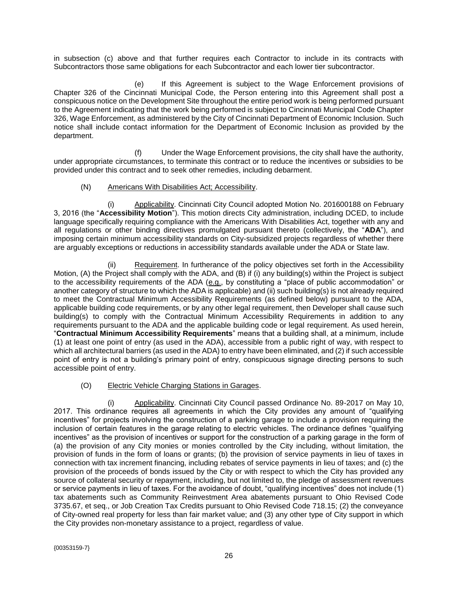in subsection (c) above and that further requires each Contractor to include in its contracts with Subcontractors those same obligations for each Subcontractor and each lower tier subcontractor.

(e) If this Agreement is subject to the Wage Enforcement provisions of Chapter 326 of the Cincinnati Municipal Code, the Person entering into this Agreement shall post a conspicuous notice on the Development Site throughout the entire period work is being performed pursuant to the Agreement indicating that the work being performed is subject to Cincinnati Municipal Code Chapter 326, Wage Enforcement, as administered by the City of Cincinnati Department of Economic Inclusion. Such notice shall include contact information for the Department of Economic Inclusion as provided by the department.

(f) Under the Wage Enforcement provisions, the city shall have the authority, under appropriate circumstances, to terminate this contract or to reduce the incentives or subsidies to be provided under this contract and to seek other remedies, including debarment.

## (N) Americans With Disabilities Act; Accessibility.

Applicability. Cincinnati City Council adopted Motion No. 201600188 on February 3, 2016 (the "**Accessibility Motion**"). This motion directs City administration, including DCED, to include language specifically requiring compliance with the Americans With Disabilities Act, together with any and all regulations or other binding directives promulgated pursuant thereto (collectively, the "**ADA**"), and imposing certain minimum accessibility standards on City-subsidized projects regardless of whether there are arguably exceptions or reductions in accessibility standards available under the ADA or State law.

Requirement. In furtherance of the policy objectives set forth in the Accessibility Motion, (A) the Project shall comply with the ADA, and (B) if (i) any building(s) within the Project is subject to the accessibility requirements of the ADA (e.g., by constituting a "place of public accommodation" or another category of structure to which the ADA is applicable) and (ii) such building(s) is not already required to meet the Contractual Minimum Accessibility Requirements (as defined below) pursuant to the ADA, applicable building code requirements, or by any other legal requirement, then Developer shall cause such building(s) to comply with the Contractual Minimum Accessibility Requirements in addition to any requirements pursuant to the ADA and the applicable building code or legal requirement. As used herein, "**Contractual Minimum Accessibility Requirements**" means that a building shall, at a minimum, include (1) at least one point of entry (as used in the ADA), accessible from a public right of way, with respect to which all architectural barriers (as used in the ADA) to entry have been eliminated, and (2) if such accessible point of entry is not a building's primary point of entry, conspicuous signage directing persons to such accessible point of entry.

## (O) Electric Vehicle Charging Stations in Garages.

(i) Applicability. Cincinnati City Council passed Ordinance No. 89-2017 on May 10, 2017. This ordinance requires all agreements in which the City provides any amount of "qualifying incentives" for projects involving the construction of a parking garage to include a provision requiring the inclusion of certain features in the garage relating to electric vehicles. The ordinance defines "qualifying incentives" as the provision of incentives or support for the construction of a parking garage in the form of (a) the provision of any City monies or monies controlled by the City including, without limitation, the provision of funds in the form of loans or grants; (b) the provision of service payments in lieu of taxes in connection with tax increment financing, including rebates of service payments in lieu of taxes; and (c) the provision of the proceeds of bonds issued by the City or with respect to which the City has provided any source of collateral security or repayment, including, but not limited to, the pledge of assessment revenues or service payments in lieu of taxes. For the avoidance of doubt, "qualifying incentives" does not include (1) tax abatements such as Community Reinvestment Area abatements pursuant to Ohio Revised Code 3735.67, et seq., or Job Creation Tax Credits pursuant to Ohio Revised Code 718.15; (2) the conveyance of City-owned real property for less than fair market value; and (3) any other type of City support in which the City provides non-monetary assistance to a project, regardless of value.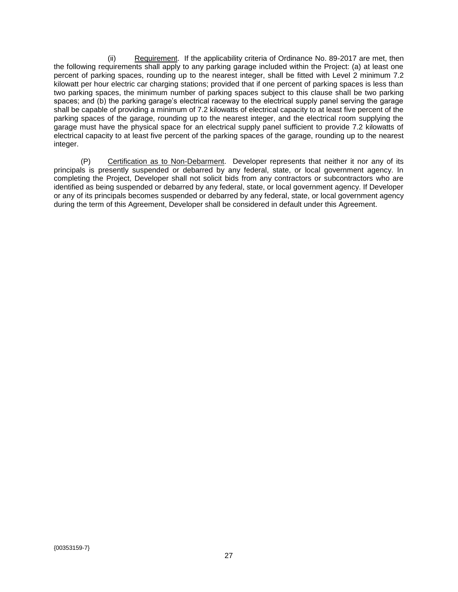(ii) Requirement. If the applicability criteria of Ordinance No. 89-2017 are met, then the following requirements shall apply to any parking garage included within the Project: (a) at least one percent of parking spaces, rounding up to the nearest integer, shall be fitted with Level 2 minimum 7.2 kilowatt per hour electric car charging stations; provided that if one percent of parking spaces is less than two parking spaces, the minimum number of parking spaces subject to this clause shall be two parking spaces; and (b) the parking garage's electrical raceway to the electrical supply panel serving the garage shall be capable of providing a minimum of 7.2 kilowatts of electrical capacity to at least five percent of the parking spaces of the garage, rounding up to the nearest integer, and the electrical room supplying the garage must have the physical space for an electrical supply panel sufficient to provide 7.2 kilowatts of electrical capacity to at least five percent of the parking spaces of the garage, rounding up to the nearest integer.

(P) Certification as to Non-Debarment. Developer represents that neither it nor any of its principals is presently suspended or debarred by any federal, state, or local government agency. In completing the Project, Developer shall not solicit bids from any contractors or subcontractors who are identified as being suspended or debarred by any federal, state, or local government agency. If Developer or any of its principals becomes suspended or debarred by any federal, state, or local government agency during the term of this Agreement, Developer shall be considered in default under this Agreement.